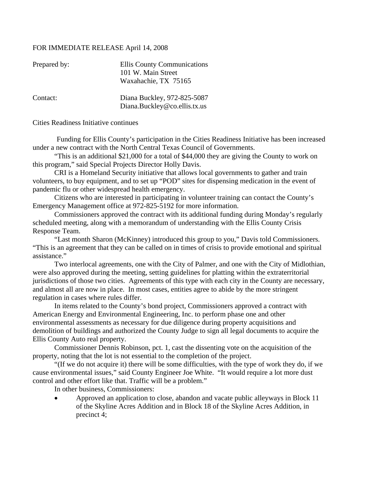## FOR IMMEDIATE RELEASE April 14, 2008

| <b>Ellis County Communications</b>                          |
|-------------------------------------------------------------|
| 101 W. Main Street                                          |
| Waxahachie, TX 75165                                        |
| Diana Buckley, 972-825-5087<br>Diana.Buckley@co.ellis.tx.us |
|                                                             |

Cities Readiness Initiative continues

 Funding for Ellis County's participation in the Cities Readiness Initiative has been increased under a new contract with the North Central Texas Council of Governments.

 "This is an additional \$21,000 for a total of \$44,000 they are giving the County to work on this program," said Special Projects Director Holly Davis.

 CRI is a Homeland Security initiative that allows local governments to gather and train volunteers, to buy equipment, and to set up "POD" sites for dispensing medication in the event of pandemic flu or other widespread health emergency.

 Citizens who are interested in participating in volunteer training can contact the County's Emergency Management office at 972-825-5192 for more information.

 Commissioners approved the contract with its additional funding during Monday's regularly scheduled meeting, along with a memorandum of understanding with the Ellis County Crisis Response Team.

 "Last month Sharon (McKinney) introduced this group to you," Davis told Commissioners. "This is an agreement that they can be called on in times of crisis to provide emotional and spiritual assistance."

 Two interlocal agreements, one with the City of Palmer, and one with the City of Midlothian, were also approved during the meeting, setting guidelines for platting within the extraterritorial jurisdictions of those two cities. Agreements of this type with each city in the County are necessary, and almost all are now in place. In most cases, entities agree to abide by the more stringent regulation in cases where rules differ.

 In items related to the County's bond project, Commissioners approved a contract with American Energy and Environmental Engineering, Inc. to perform phase one and other environmental assessments as necessary for due diligence during property acquisitions and demolition of buildings and authorized the County Judge to sign all legal documents to acquire the Ellis County Auto real property.

 Commissioner Dennis Robinson, pct. 1, cast the dissenting vote on the acquisition of the property, noting that the lot is not essential to the completion of the project.

 "(If we do not acquire it) there will be some difficulties, with the type of work they do, if we cause environmental issues," said County Engineer Joe White. "It would require a lot more dust control and other effort like that. Traffic will be a problem."

In other business, Commissioners:

• Approved an application to close, abandon and vacate public alleyways in Block 11 of the Skyline Acres Addition and in Block 18 of the Skyline Acres Addition, in precinct 4;